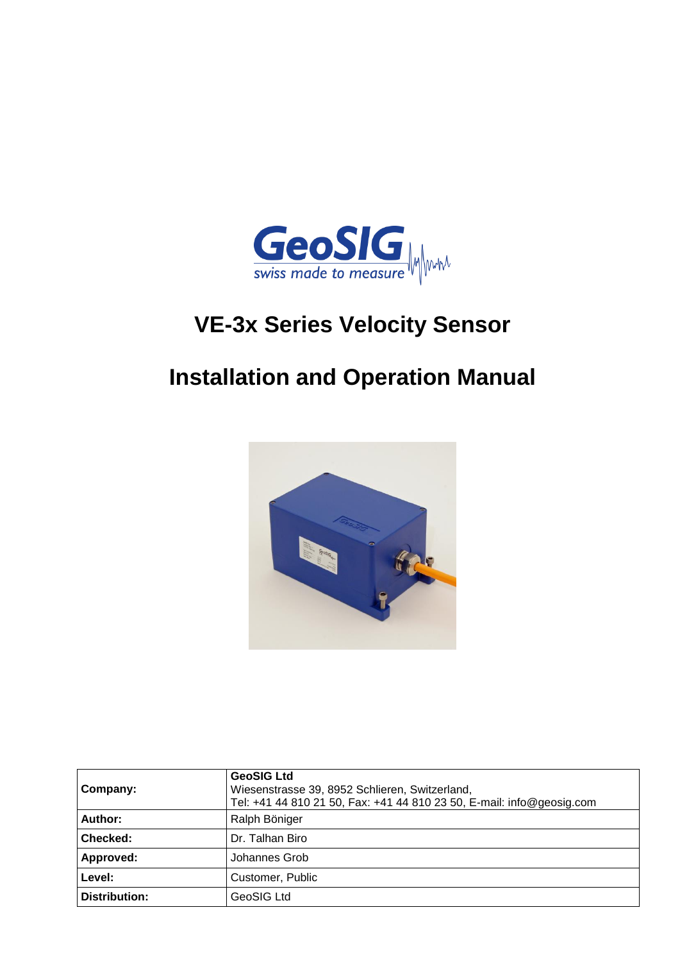

# **VE-3x Series Velocity Sensor**

## **Installation and Operation Manual**



| Company:             | <b>GeoSIG Ltd</b><br>Wiesenstrasse 39, 8952 Schlieren, Switzerland,<br>Tel: +41 44 810 21 50, Fax: +41 44 810 23 50, E-mail: info@geosig.com |  |
|----------------------|----------------------------------------------------------------------------------------------------------------------------------------------|--|
| Author:              | Ralph Böniger                                                                                                                                |  |
| Checked:             | Dr. Talhan Biro                                                                                                                              |  |
| Approved:            | Johannes Grob                                                                                                                                |  |
| Level:               | Customer, Public                                                                                                                             |  |
| <b>Distribution:</b> | GeoSIG Ltd                                                                                                                                   |  |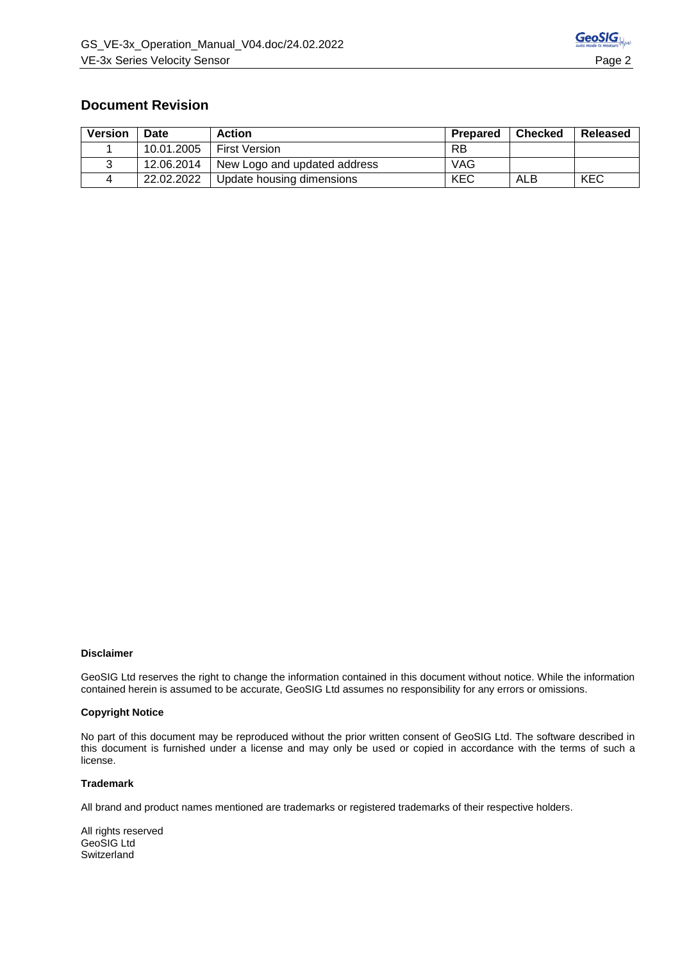## **Document Revision**

| <b>Version</b> | <b>Date</b> | <b>Action</b>                | Prepared   | ∣ Checked | Released   |
|----------------|-------------|------------------------------|------------|-----------|------------|
|                | 10.01.2005  | <b>First Version</b>         | RB         |           |            |
|                | 12.06.2014  | New Logo and updated address | <b>VAG</b> |           |            |
|                | 22.02.2022  | Update housing dimensions    | KEC        | ALB       | <b>KEC</b> |

#### **Disclaimer**

GeoSIG Ltd reserves the right to change the information contained in this document without notice. While the information contained herein is assumed to be accurate, GeoSIG Ltd assumes no responsibility for any errors or omissions.

#### **Copyright Notice**

No part of this document may be reproduced without the prior written consent of GeoSIG Ltd. The software described in this document is furnished under a license and may only be used or copied in accordance with the terms of such a license.

#### **Trademark**

All brand and product names mentioned are trademarks or registered trademarks of their respective holders.

All rights reserved GeoSIG Ltd **Switzerland**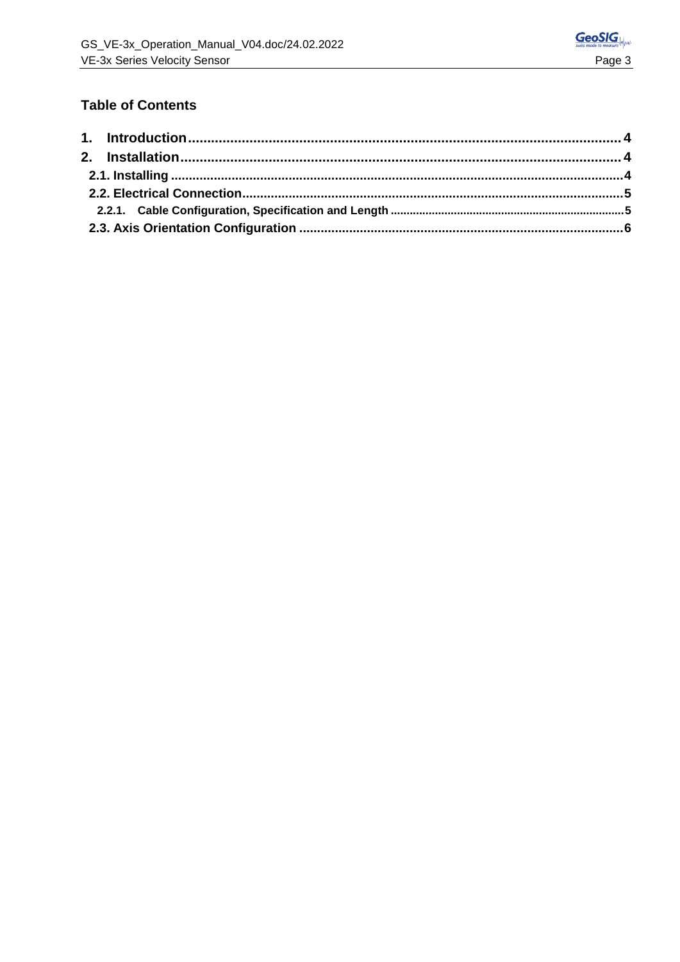## **Table of Contents**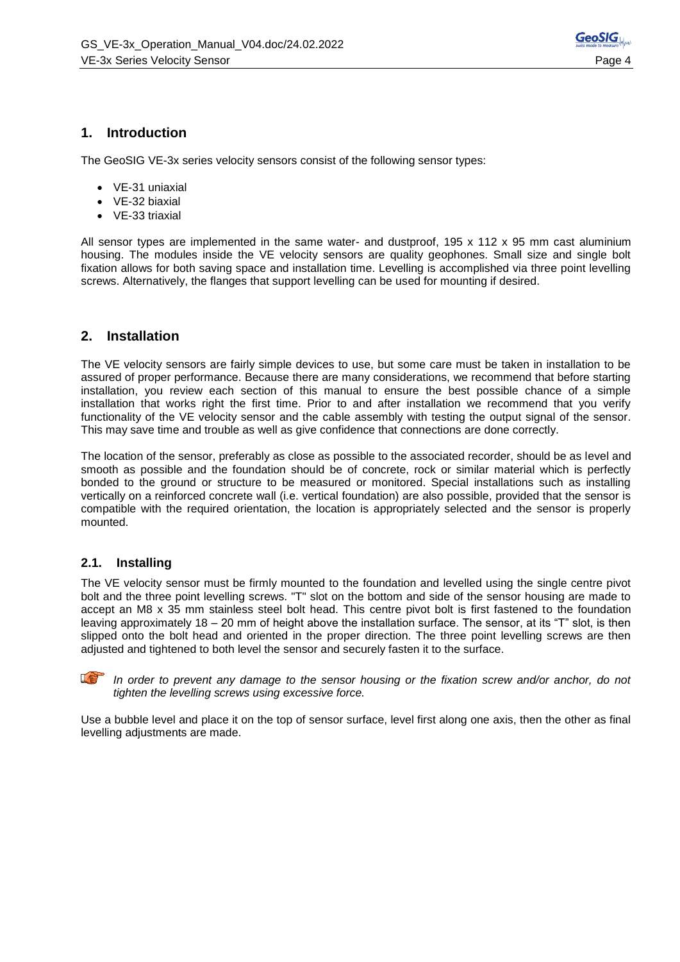

### **1. Introduction**

The GeoSIG VE-3x series velocity sensors consist of the following sensor types:

- VE-31 uniaxial
- VE-32 biaxial
- VE-33 triaxial

All sensor types are implemented in the same water- and dustproof, 195 x 112 x 95 mm cast aluminium housing. The modules inside the VE velocity sensors are quality geophones. Small size and single bolt fixation allows for both saving space and installation time. Levelling is accomplished via three point levelling screws. Alternatively, the flanges that support levelling can be used for mounting if desired.

#### **2. Installation**

The VE velocity sensors are fairly simple devices to use, but some care must be taken in installation to be assured of proper performance. Because there are many considerations, we recommend that before starting installation, you review each section of this manual to ensure the best possible chance of a simple installation that works right the first time. Prior to and after installation we recommend that you verify functionality of the VE velocity sensor and the cable assembly with testing the output signal of the sensor. This may save time and trouble as well as give confidence that connections are done correctly.

The location of the sensor, preferably as close as possible to the associated recorder, should be as level and smooth as possible and the foundation should be of concrete, rock or similar material which is perfectly bonded to the ground or structure to be measured or monitored. Special installations such as installing vertically on a reinforced concrete wall (i.e. vertical foundation) are also possible, provided that the sensor is compatible with the required orientation, the location is appropriately selected and the sensor is properly mounted.

#### **2.1. Installing**

The VE velocity sensor must be firmly mounted to the foundation and levelled using the single centre pivot bolt and the three point levelling screws. "T" slot on the bottom and side of the sensor housing are made to accept an M8 x 35 mm stainless steel bolt head. This centre pivot bolt is first fastened to the foundation leaving approximately 18 – 20 mm of height above the installation surface. The sensor, at its "T" slot, is then slipped onto the bolt head and oriented in the proper direction. The three point levelling screws are then adjusted and tightened to both level the sensor and securely fasten it to the surface.



In order to prevent any damage to the sensor housing or the fixation screw and/or anchor, do not *tighten the levelling screws using excessive force.*

Use a bubble level and place it on the top of sensor surface, level first along one axis, then the other as final levelling adjustments are made.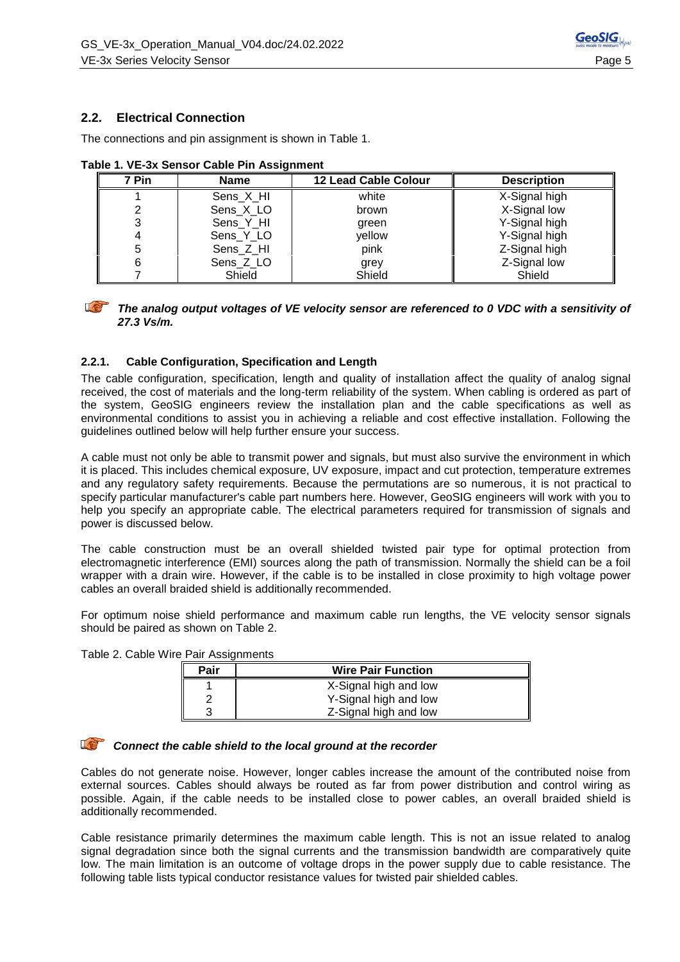### **2.2. Electrical Connection**

The connections and pin assignment is shown in Table 1.

| 7 Pin | <b>Name</b> | 12 Lead Cable Colour | <b>Description</b> |
|-------|-------------|----------------------|--------------------|
|       | Sens_X_HI   | white                | X-Signal high      |
|       | Sens X LO   | brown                | X-Signal low       |
|       | Sens_Y_HI   | green                | Y-Signal high      |
|       | Sens_Y_LO   | yellow               | Y-Signal high      |
| 5     | Sens Z HI   | pink                 | Z-Signal high      |
| 6     | Sens_Z_LO   | grey                 | Z-Signal low       |
|       | Shield      | Shield               | Shield             |

**Table 1. VE-3x Sensor Cable Pin Assignment**



#### *The analog output voltages of VE velocity sensor are referenced to 0 VDC with a sensitivity of 27.3 Vs/m.*

#### **2.2.1. Cable Configuration, Specification and Length**

The cable configuration, specification, length and quality of installation affect the quality of analog signal received, the cost of materials and the long-term reliability of the system. When cabling is ordered as part of the system, GeoSIG engineers review the installation plan and the cable specifications as well as environmental conditions to assist you in achieving a reliable and cost effective installation. Following the guidelines outlined below will help further ensure your success.

A cable must not only be able to transmit power and signals, but must also survive the environment in which it is placed. This includes chemical exposure, UV exposure, impact and cut protection, temperature extremes and any regulatory safety requirements. Because the permutations are so numerous, it is not practical to specify particular manufacturer's cable part numbers here. However, GeoSIG engineers will work with you to help you specify an appropriate cable. The electrical parameters required for transmission of signals and power is discussed below.

The cable construction must be an overall shielded twisted pair type for optimal protection from electromagnetic interference (EMI) sources along the path of transmission. Normally the shield can be a foil wrapper with a drain wire. However, if the cable is to be installed in close proximity to high voltage power cables an overall braided shield is additionally recommended.

For optimum noise shield performance and maximum cable run lengths, the VE velocity sensor signals should be paired as shown on Table 2.

Table 2. Cable Wire Pair Assignments

| Pair | <b>Wire Pair Function</b> |  |  |
|------|---------------------------|--|--|
|      | X-Signal high and low     |  |  |
|      | Y-Signal high and low     |  |  |
|      | Z-Signal high and low     |  |  |

#### *Connect the cable shield to the local ground at the recorder*

Cables do not generate noise. However, longer cables increase the amount of the contributed noise from external sources. Cables should always be routed as far from power distribution and control wiring as possible. Again, if the cable needs to be installed close to power cables, an overall braided shield is additionally recommended.

Cable resistance primarily determines the maximum cable length. This is not an issue related to analog signal degradation since both the signal currents and the transmission bandwidth are comparatively quite low. The main limitation is an outcome of voltage drops in the power supply due to cable resistance. The following table lists typical conductor resistance values for twisted pair shielded cables.